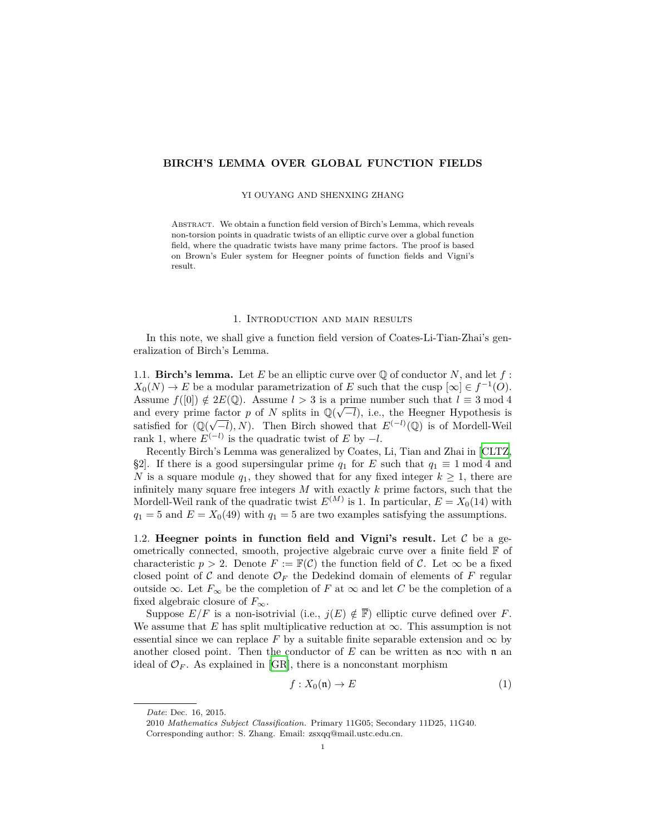## **BIRCH'S LEMMA OVER GLOBAL FUNCTION FIELDS**

#### YI OUYANG AND SHENXING ZHANG

ABSTRACT. We obtain a function field version of Birch's Lemma, which reveals non-torsion points in quadratic twists of an elliptic curve over a global function field, where the quadratic twists have many prime factors. The proof is based on Brown's Euler system for Heegner points of function fields and Vigni's result.

### 1. Introduction and main results

In this note, we shall give a function field version of Coates-Li-Tian-Zhai's generalization of Birch's Lemma.

1.1. **Birch's lemma.** Let E be an elliptic curve over  $\mathbb Q$  of conductor N, and let f:  $X_0(N) \to E$  be a modular parametrization of *E* such that the cusp  $[\infty] \in f^{-1}(O)$ . Assume  $f([0]) \notin 2E(\mathbb{Q})$ . Assume  $l > 3$  is a prime number such that  $l \equiv 3 \mod 4$ and every prime factor *p* of *N* splits in  $\mathbb{Q}(\sqrt{-l})$ , i.e., the Heegner Hypothesis is satisfied for  $(\mathbb{Q}(\sqrt{-l}), N)$ . Then Birch showed that  $E^{(-l)}(\mathbb{Q})$  is of Mordell-Weil rank 1, where  $E^{(-l)}$  is the quadratic twist of  $E$  by  $-l$ .

Recently Birch's Lemma was generalized by Coates, Li, Tian and Zhai in [[CLTZ,](#page-6-0) §2]. If there is a good supersingular prime  $q_1$  for *E* such that  $q_1 \equiv 1 \mod 4$  and *N* is a square module  $q_1$ , they showed that for any fixed integer  $k \geq 1$ , there are infinitely many square free integers *M* with exactly *k* prime factors, such that the Mordell-Weil rank of the quadratic twist  $E^{(M)}$  is 1. In particular,  $E = X_0(14)$  with  $q_1 = 5$  and  $E = X_0(49)$  with  $q_1 = 5$  are two examples satisfying the assumptions.

1.2. **Heegner points in function field and Vigni's result.** Let *C* be a geometrically connected, smooth, projective algebraic curve over a finite field F of characteristic  $p > 2$ . Denote  $F := \mathbb{F}(\mathcal{C})$  the function field of  $\mathcal{C}$ . Let  $\infty$  be a fixed closed point of *C* and denote  $\mathcal{O}_F$  the Dedekind domain of elements of *F* regular outside  $\infty$ . Let  $F_{\infty}$  be the completion of *F* at  $\infty$  and let *C* be the completion of a fixed algebraic closure of  $F_\infty$ .

Suppose  $E/F$  is a non-isotrivial (i.e.,  $j(E) \notin \overline{\mathbb{F}}$ ) elliptic curve defined over *F*. We assume that  $E$  has split multiplicative reduction at  $\infty$ . This assumption is not essential since we can replace  $F$  by a suitable finite separable extension and  $\infty$  by another closed point. Then the conductor of *E* can be written as  $\mathfrak{n}\infty$  with  $\mathfrak{n}$  an ideal of  $\mathcal{O}_F$ . As explained in [\[GR](#page-6-1)], there is a nonconstant morphism

$$
f: X_0(\mathfrak{n}) \to E \tag{1}
$$

*Date*: Dec. 16, 2015.

<sup>2010</sup> *Mathematics Subject Classification.* Primary 11G05; Secondary 11D25, 11G40. Corresponding author: S. Zhang. Email: zsxqq@mail.ustc.edu.cn.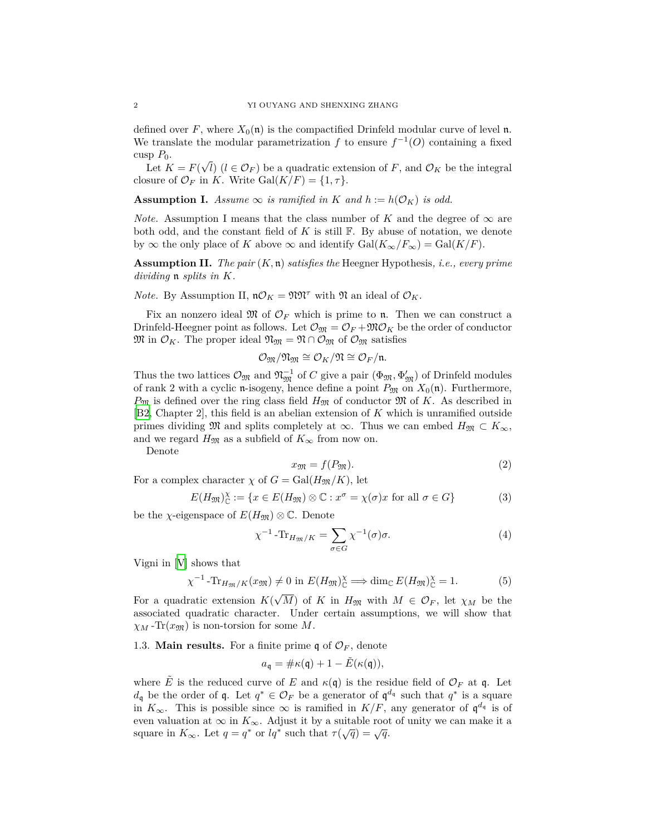defined over F, where  $X_0(\mathfrak{n})$  is the compactified Drinfeld modular curve of level  $\mathfrak{n}$ . We translate the modular parametrization *f* to ensure  $f^{-1}(O)$  containing a fixed cusp  $P_0$ . *√*

Let  $K = F($ *l*)  $(l \in \mathcal{O}_F)$  be a quadratic extension of *F*, and  $\mathcal{O}_K$  be the integral closure of  $\mathcal{O}_F$  in *K*. Write Gal $(K/F) = \{1, \tau\}$ .

<span id="page-1-0"></span>**Assumption I.** Assume  $\infty$  *is ramified in K and*  $h := h(\mathcal{O}_K)$  *is odd.* 

*Note.* Assumption I means that the class number of *K* and the degree of  $\infty$  are both odd, and the constant field of *K* is still F. By abuse of notation, we denote by  $\infty$  the only place of *K* above  $\infty$  and identify  $Gal(K_{\infty}/F_{\infty}) = Gal(K/F)$ .

**Assumption II.** *The pair* (*K,* n) *satisfies the* Heegner Hypothesis*, i.e., every prime dividing* n *splits in K.*

*Note.* By Assumption II,  $n\mathcal{O}_K = \mathfrak{N}\mathfrak{N}^{\tau}$  with  $\mathfrak{N}$  an ideal of  $\mathcal{O}_K$ .

Fix an nonzero ideal  $\mathfrak{M}$  of  $\mathcal{O}_F$  which is prime to  $\mathfrak{n}$ . Then we can construct a Drinfeld-Heegner point as follows. Let  $\mathcal{O}_{\mathfrak{M}} = \mathcal{O}_F + \mathfrak{M}\mathcal{O}_K$  be the order of conductor  $\mathfrak{M}$  in  $\mathcal{O}_K$ . The proper ideal  $\mathfrak{N}_{\mathfrak{M}} = \mathfrak{N} \cap \mathcal{O}_{\mathfrak{M}}$  of  $\mathcal{O}_{\mathfrak{M}}$  satisfies

$$
\mathcal{O}_{\mathfrak{M}}/\mathfrak{N}_{\mathfrak{M}}\cong \mathcal{O}_K/\mathfrak{N}\cong \mathcal{O}_F/\mathfrak{n}.
$$

Thus the two lattices  $\mathcal{O}_{\mathfrak{M}}$  and  $\mathfrak{N}_{\mathfrak{M}}^{-1}$  of *C* give a pair  $(\Phi_{\mathfrak{M}}, \Phi'_{\mathfrak{M}})$  of Drinfeld modules of rank 2 with a cyclic n-isogeny, hence define a point  $P_{\mathfrak{M}}$  on  $X_0(\mathfrak{n})$ . Furthermore,  $P_{\mathfrak{M}}$  is defined over the ring class field  $H_{\mathfrak{M}}$  of conductor  $\mathfrak{M}$  of *K*. As described in [\[B2](#page-6-2), Chapter 2], this field is an abelian extension of *K* which is unramified outside primes dividing  $\mathfrak{M}$  and splits completely at  $\infty$ . Thus we can embed  $H_{\mathfrak{M}} \subset K_{\infty}$ , and we regard  $H_{\mathfrak{M}}$  as a subfield of  $K_{\infty}$  from now on.

Denote

$$
x_{\mathfrak{M}} = f(P_{\mathfrak{M}}). \tag{2}
$$

For a complex character  $\chi$  of  $G = \text{Gal}(H_{\mathfrak{M}}/K)$ , let

$$
E(H_{\mathfrak{M}})_{\mathbb{C}}^{\chi} := \{ x \in E(H_{\mathfrak{M}}) \otimes \mathbb{C} : x^{\sigma} = \chi(\sigma)x \text{ for all } \sigma \in G \}
$$
 (3)

be the *χ*-eigenspace of  $E(H_{\mathfrak{M}}) \otimes \mathbb{C}$ . Denote

$$
\chi^{-1} \text{-Tr}_{H_{\mathfrak{M}}/K} = \sum_{\sigma \in G} \chi^{-1}(\sigma) \sigma. \tag{4}
$$

Vigni in [[V](#page-6-3)] shows that

$$
\chi^{-1} \text{-Tr}_{H_{\mathfrak{M}}/K}(x_{\mathfrak{M}}) \neq 0 \text{ in } E(H_{\mathfrak{M}})_{\mathbb{C}}^{\chi} \Longrightarrow \dim_{\mathbb{C}} E(H_{\mathfrak{M}})_{\mathbb{C}}^{\chi} = 1. \tag{5}
$$

For a quadratic extension  $K(\sqrt{M})$  of *K* in  $H_{\mathfrak{M}}$  with  $M \in \mathcal{O}_F$ , let  $\chi_M$  be the associated quadratic character. Under certain assumptions, we will show that  $\chi_M$ -Tr( $x_{\mathfrak{M}}$ ) is non-torsion for some *M*.

1.3. **Main results.** For a finite prime  $\mathfrak{q}$  of  $\mathcal{O}_F$ , denote

$$
a_{\mathfrak{q}} = \#\kappa(\mathfrak{q}) + 1 - \tilde{E}(\kappa(\mathfrak{q})),
$$

where  $\hat{E}$  is the reduced curve of  $E$  and  $\kappa(\mathfrak{q})$  is the residue field of  $\mathcal{O}_F$  at  $\mathfrak{q}$ . Let *d*<sub>q</sub> be the order of **q**. Let  $q^* \in \mathcal{O}_F$  be a generator of  $\mathfrak{q}^{d_q}$  such that  $q^*$  is a square in  $K_{\infty}$ . This is possible since  $\infty$  is ramified in  $K/F$ , any generator of  $\mathfrak{q}^{d_{\mathfrak{q}}}$  is of even valuation at  $\infty$  in  $K_{\infty}$ . Adjust it by a suitable root of unity we can make it a square in  $K_{\infty}$ . Let  $q = q^*$  or  $lq^*$  such that  $\tau(\sqrt{q}) = \sqrt{q}$ .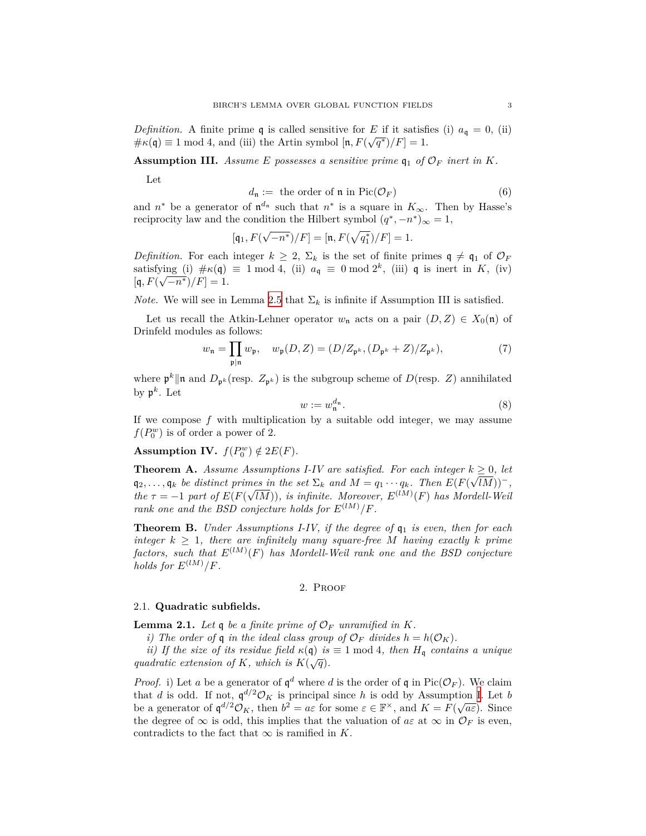*Definition.* A finite prime **q** is called sensitive for *E* if it satisfies (i)  $a_q = 0$ , (ii)  $\#\kappa(\mathfrak{q}) \equiv 1 \mod 4$ , and (iii) the Artin symbol  $[\mathfrak{n}, F(\sqrt{q^*})/F] = 1$ .

**Assumption III.** *Assume E* possesses a sensitive prime  $\mathfrak{q}_1$  of  $\mathcal{O}_F$  inert in K.

Let

$$
d_{\mathfrak{n}} := \text{ the order of } \mathfrak{n} \text{ in } \text{Pic}(\mathcal{O}_F) \tag{6}
$$

and  $n^*$  be a generator of  $\mathfrak{n}^{d_n}$  such that  $n^*$  is a square in  $K_{\infty}$ . Then by Hasse's reciprocity law and the condition the Hilbert symbol  $(q^*, -n^*)_\infty = 1$ ,

$$
[\mathfrak{q}_1, F(\sqrt{-n^*})/F] = [\mathfrak{n}, F(\sqrt{q_1^*})/F] = 1.
$$

*Definition.* For each integer  $k \geq 2$ ,  $\Sigma_k$  is the set of finite primes  $\mathfrak{q} \neq \mathfrak{q}_1$  of  $\mathcal{O}_F$ satisfying (i)  $\#\kappa(\mathfrak{q}) \equiv 1 \mod 4$ , (ii)  $a_{\mathfrak{q}} \equiv 0 \mod 2^k$ , (iii)  $\mathfrak{q}$  is inert in *K*, (iv)  $[q, F(\sqrt{-n^*})/F] = 1.$ 

*Note.* We will see in Lemma [2.5](#page-4-0) that  $\Sigma_k$  is infinite if Assumption III is satisfied.

Let us recall the Atkin-Lehner operator  $w_n$  acts on a pair  $(D, Z) \in X_0(\mathfrak{n})$  of Drinfeld modules as follows:

$$
w_{\mathfrak{n}} = \prod_{\mathfrak{p} \mid \mathfrak{n}} w_{\mathfrak{p}}, \quad w_{\mathfrak{p}}(D, Z) = (D/Z_{\mathfrak{p}^k}, (D_{\mathfrak{p}^k} + Z)/Z_{\mathfrak{p}^k}), \tag{7}
$$

where  $\mathfrak{p}^k \|\mathfrak{n}$  and  $D_{\mathfrak{p}^k}(\text{resp. } Z_{\mathfrak{p}^k})$  is the subgroup scheme of  $D(\text{resp. } Z)$  annihilated by  $\mathfrak{p}^k$ . Let

$$
w := w_n^{d_n}.\tag{8}
$$

If we compose *f* with multiplication by a suitable odd integer, we may assume  $f(P_0^w)$  is of order a power of 2.

<span id="page-2-1"></span>**Assumption IV.**  $f(P_0^w) \notin 2E(F)$ .

**Theorem A.** *Assume Assumptions I-IV are satisfied. For each integer*  $k \geq 0$ , let  $\mathfrak{q}_2, \ldots, \mathfrak{q}_k$  *be distinct primes in the set*  $\Sigma_k$  *and*  $M = q_1 \cdots q_k$ *. Then*  $E(F(\sqrt{l}M))^{-1}$ , *the*  $\tau = -1$  *part of*  $E(F(\sqrt{IM}))$ *, is infinite. Moreover,*  $E^{(IM)}(F)$  *has Mordell-Weil rank one and the BSD conjecture holds for*  $E^{(lM)}/F$ .

**Theorem B.** *Under Assumptions I-IV, if the degree of*  $q_1$  *is even, then for each integer*  $k \geq 1$ *, there are infinitely many square-free M having exactly k prime*  $factors, such that  $E^{(lM)}(F)$  has Mordell-Weil rank one and the BSD conjecture$ *holds for*  $E^{(lM)}/F$ *.* 

#### 2. Proof

#### 2.1. **Quadratic subfields.**

<span id="page-2-0"></span>**Lemma 2.1.** Let  $\mathfrak{q}$  be a finite prime of  $\mathcal{O}_F$  *unramified in*  $K$ *.* 

*i)* The order of **q** in the ideal class group of  $\mathcal{O}_F$  divides  $h = h(\mathcal{O}_K)$ .

*ii)* If the size of its residue field  $\kappa(\mathfrak{q})$  *is*  $\equiv$  1 mod 4*, then*  $H_{\mathfrak{q}}$  *contains a unique quadratic extension of K, which is*  $K(\sqrt{q})$ *.* 

*Proof.* i) Let *a* be a generator of  $\mathfrak{q}^d$  where *d* is the order of  $\mathfrak{q}$  in Pic( $\mathcal{O}_F$ ). We claim that *d* is odd. If not,  $\mathfrak{q}^{d/2} \mathcal{O}_K$  is principal since *h* is odd by Assumption [I.](#page-1-0) Let *b* be a generator of  $\mathfrak{q}^{d/2}\mathcal{O}_K$ , then  $b^2 = a\varepsilon$  for some  $\varepsilon \in \mathbb{F}^\times$ , and  $K = F(\sqrt{a\varepsilon})$ . Since the degree of  $\infty$  is odd, this implies that the valuation of  $a\varepsilon$  at  $\infty$  in  $\mathcal{O}_F$  is even, contradicts to the fact that  $\infty$  is ramified in *K*.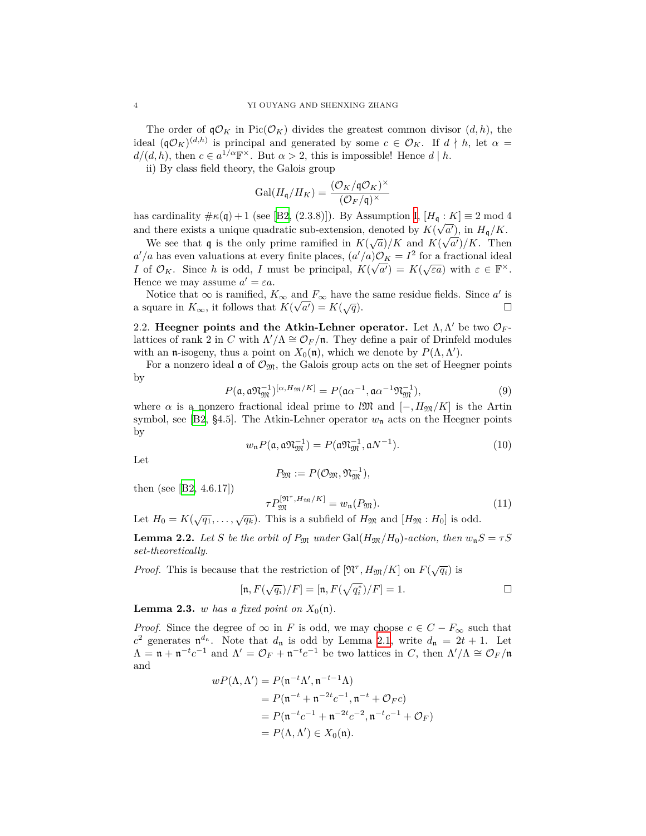The order of  $\mathfrak{q}\mathcal{O}_K$  in Pic( $\mathcal{O}_K$ ) divides the greatest common divisor  $(d, h)$ , the ideal  $({\bf q}\mathcal{O}_K)^{(d,h)}$  is principal and generated by some  $c \in \mathcal{O}_K$ . If  $d \nmid h$ , let  $\alpha =$  $d/(d, h)$ , then  $c \in a^{1/\alpha} \mathbb{F}^{\times}$ . But  $\alpha > 2$ , this is impossible! Hence  $d | h$ .

ii) By class field theory, the Galois group

$$
\operatorname{Gal}(H_{\mathfrak{q}}/H_K) = \frac{(\mathcal{O}_K/\mathfrak{q}\mathcal{O}_K)^\times}{(\mathcal{O}_F/\mathfrak{q})^\times}
$$

hascardinality  $\#\kappa(\mathfrak{q}) + 1$  (see [[B2](#page-6-2), (2.3.8)]). By Assumption [I,](#page-1-0)  $[H_{\mathfrak{q}} : K] \equiv 2 \text{ mod } 4$ and there exists a unique quadratic sub-extension, denoted by  $K(\sqrt{a'})$ , in  $H_q/K$ .

We see that q is the only prime ramified in  $K(\sqrt{a})/K$  and  $K(\sqrt{a'})/K$ . Then  $a'/a$  has even valuations at every finite places,  $(a'/a)O_K = I^2$  for a fractional ideal *I* of  $\mathcal{O}_K$ . Since *h* is odd, *I* must be principal,  $K(\sqrt{a'}) = K(\sqrt{\varepsilon a})$  with  $\varepsilon \in \mathbb{F}^\times$ . Hence we may assume  $a' = \varepsilon a$ .

Notice that  $\infty$  is ramified,  $K_{\infty}$  and  $F_{\infty}$  have the same residue fields. Since *a'* is quare in  $K_{\infty}$ , it follows that  $K(\sqrt{a'}) = K(\sqrt{q})$ . a square in  $K_{\infty}$ , it follows that  $K(\sqrt{a'}) = K(a')$ 

2.2. **Heegner points and the Atkin-Lehner operator.** Let Λ*,*Λ *′* be two *O<sup>F</sup>* lattices of rank 2 in *C* with  $\Lambda'/\Lambda \cong \mathcal{O}_F/\mathfrak{n}$ . They define a pair of Drinfeld modules with an **n**-isogeny, thus a point on  $X_0(\mathfrak{n})$ , which we denote by  $P(\Lambda, \Lambda')$ .

For a nonzero ideal  $\mathfrak{a}$  of  $\mathcal{O}_{\mathfrak{M}}$ , the Galois group acts on the set of Heegner points by

$$
P(\mathfrak{a}, \mathfrak{a} \mathfrak{N}_{\mathfrak{M}}^{-1})^{[\alpha, H_{\mathfrak{M}}/K]} = P(\mathfrak{a} \alpha^{-1}, \mathfrak{a} \alpha^{-1} \mathfrak{N}_{\mathfrak{M}}^{-1}), \qquad (9)
$$

where  $\alpha$  is a nonzero fractional ideal prime to *l*M and [*−, H*<sub>M</sub>*/K*] is the Artin symbol, see [[B2,](#page-6-2) §4.5]. The Atkin-Lehner operator  $w_n$  acts on the Heegner points by

$$
w_{n}P(\mathfrak{a}, \mathfrak{a}\mathfrak{N}_{\mathfrak{M}}^{-1}) = P(\mathfrak{a}\mathfrak{N}_{\mathfrak{M}}^{-1}, \mathfrak{a}N^{-1}).
$$
\n(10)

Let

$$
P_{\mathfrak{M}}:=P(\mathcal{O}_{\mathfrak{M}},\mathfrak{N}_{\mathfrak{M}}^{-1}),
$$

then (see [\[B2](#page-6-2), 4.6.17])

$$
\tau P_{\mathfrak{M}}^{[\mathfrak{N}^{\tau}, H_{\mathfrak{M}}/K]} = w_{\mathfrak{n}}(P_{\mathfrak{M}}). \tag{11}
$$

Let  $H_0 = K(\sqrt{q_1}, \ldots, \sqrt{q_k})$ . This is a subfield of  $H_{\mathfrak{M}}$  and  $[H_{\mathfrak{M}} : H_0]$  is odd.

<span id="page-3-0"></span>**Lemma 2.2.** *Let S be the orbit of*  $P_{\mathfrak{M}}$  *under* Gal( $H_{\mathfrak{M}}/H_0$ )*-action, then*  $w_nS = \tau S$ *set-theoretically.*

*Proof.* This is because that the restriction of  $[\mathfrak{N}^{\tau}, H_{\mathfrak{M}}/K]$  on  $F(\sqrt{q_i})$  is

$$
[\mathfrak{n} , F(\sqrt{q_i})/F] = [\mathfrak{n} , F(\sqrt{q_i^*})/F] = 1. \qquad \qquad \Box
$$

**Lemma 2.3.** *w* has a fixed point on  $X_0(\mathfrak{n})$ .

*Proof.* Since the degree of  $\infty$  in *F* is odd, we may choose  $c \in C - F_{\infty}$  such that  $c^2$  generates  $\mathfrak{n}^{d_n}$ . Note that  $d_n$  is odd by Lemma [2.1](#page-2-0), write  $d_n = 2t + 1$ . Let  $\Lambda = \mathfrak{n} + \mathfrak{n}^{-t}c^{-1}$  and  $\Lambda' = \mathcal{O}_F + \mathfrak{n}^{-t}c^{-1}$  be two lattices in *C*, then  $\Lambda'/\Lambda \cong \mathcal{O}_F/\mathfrak{n}$ and

$$
wP(\Lambda, \Lambda') = P(\mathfrak{n}^{-t}\Lambda', \mathfrak{n}^{-t-1}\Lambda)
$$
  
=  $P(\mathfrak{n}^{-t} + \mathfrak{n}^{-2t}c^{-1}, \mathfrak{n}^{-t} + \mathcal{O}_F c)$   
=  $P(\mathfrak{n}^{-t}c^{-1} + \mathfrak{n}^{-2t}c^{-2}, \mathfrak{n}^{-t}c^{-1} + \mathcal{O}_F)$   
=  $P(\Lambda, \Lambda') \in X_0(\mathfrak{n}).$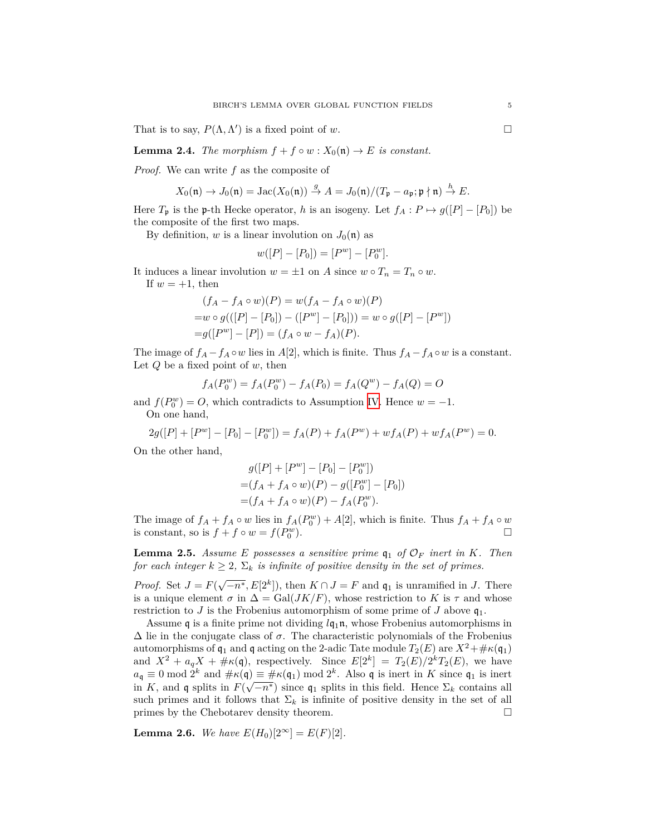That is to say,  $P(\Lambda, \Lambda')$  is a fixed point of *w*.

<span id="page-4-1"></span>**Lemma 2.4.** *The morphism*  $f + f \circ w : X_0(\mathfrak{n}) \to E$  *is constant.* 

*Proof.* We can write *f* as the composite of

$$
X_0(\mathfrak{n}) \to J_0(\mathfrak{n}) = \mathrm{Jac}(X_0(\mathfrak{n})) \stackrel{g}{\to} A = J_0(\mathfrak{n})/(T_{\mathfrak{p}} - a_{\mathfrak{p}}; \mathfrak{p} \nmid \mathfrak{n}) \stackrel{h}{\to} E.
$$

Here  $T_p$  is the p-th Hecke operator, *h* is an isogeny. Let  $f_A: P \mapsto g([P] - [P_0])$  be the composite of the first two maps.

By definition, *w* is a linear involution on  $J_0(\mathfrak{n})$  as

$$
w([P] - [P_0]) = [P^w] - [P_0^w].
$$

It induces a linear involution  $w = \pm 1$  on *A* since  $w \circ T_n = T_n \circ w$ .

If  $w = +1$ , then

$$
(f_A - f_A \circ w)(P) = w(f_A - f_A \circ w)(P)
$$
  
=w \circ g(([P] - [P\_0]) - ([P<sup>w</sup>] - [P\_0])) = w \circ g([P] - [P<sup>w</sup>])  
=g([P<sup>w</sup>] - [P]) = (f\_A \circ w - f\_A)(P).

The image of  $f_A - f_A \circ w$  lies in  $A[2]$ , which is finite. Thus  $f_A - f_A \circ w$  is a constant. Let *Q* be a fixed point of *w*, then

$$
f_A(P_0^w) = f_A(P_0^w) - f_A(P_0) = f_A(Q^w) - f_A(Q) = O
$$

and  $f(P_0^w) = O$ , which contradicts to Assumption [IV](#page-2-1). Hence  $w = -1$ . On one hand,

$$
2g([P] + [Pw] - [P0] - [P0w]) = fA(P) + fA(Pw) + wfA(P) + wfA(Pw) = 0.
$$

On the other hand,

$$
g([P] + [Pw] - [P0] - [P0w])
$$
  
=  $(f_A + f_A \circ w)(P) - g([P0w] - [P0])$   
=  $(f_A + f_A \circ w)(P) - f_A(P0w).$ 

The image of  $f_A + f_A \circ w$  lies in  $f_A(P_0^w) + A[2]$ , which is finite. Thus  $f_A + f_A \circ w$ is constant, so is  $f + f \circ w = f(P_0^w)$ ).  $\qquad \qquad \Box$ 

<span id="page-4-0"></span>**Lemma 2.5.** Assume E possesses a sensitive prime  $q_1$  of  $\mathcal{O}_F$  inert in K. Then *for each integer*  $k \geq 2$ ,  $\Sigma_k$  *is infinite of positive density in the set of primes.* 

*Proof.* Set  $J = F(\sqrt{-n^*}, E[2^k])$ , then  $K \cap J = F$  and  $\mathfrak{q}_1$  is unramified in *J*. There is a unique element  $\sigma$  in  $\Delta = \text{Gal}(JK/F)$ , whose restriction to K is  $\tau$  and whose restriction to *J* is the Frobenius automorphism of some prime of *J* above  $q_1$ .

Assume q is a finite prime not dividing  $lq_1n$ , whose Frobenius automorphisms in  $\Delta$  lie in the conjugate class of  $\sigma$ . The characteristic polynomials of the Frobenius automorphisms of  $\mathfrak{q}_1$  and  $\mathfrak{q}$  acting on the 2-adic Tate module  $T_2(E)$  are  $X^2 + \# \kappa(\mathfrak{q}_1)$ and  $X^2 + a_q X + \# \kappa(\mathfrak{q})$ , respectively. Since  $E[2^k] = T_2(E)/2^k T_2(E)$ , we have  $a_q \equiv 0 \mod 2^k$  and  $\#\kappa(q) \equiv \#\kappa(q_1) \mod 2^k$ . Also q is inert in *K* since  $q_1$  is inert in *K*, and q splits in  $F(\sqrt{-n^*})$  since q<sub>1</sub> splits in this field. Hence  $\Sigma_k$  contains all such primes and it follows that  $\Sigma_k$  is infinite of positive density in the set of all primes by the Chebotarev density theorem.  $\Box$ 

**Lemma 2.6.** *We have*  $E(H_0)[2^{\infty}] = E(F)[2]$ *.*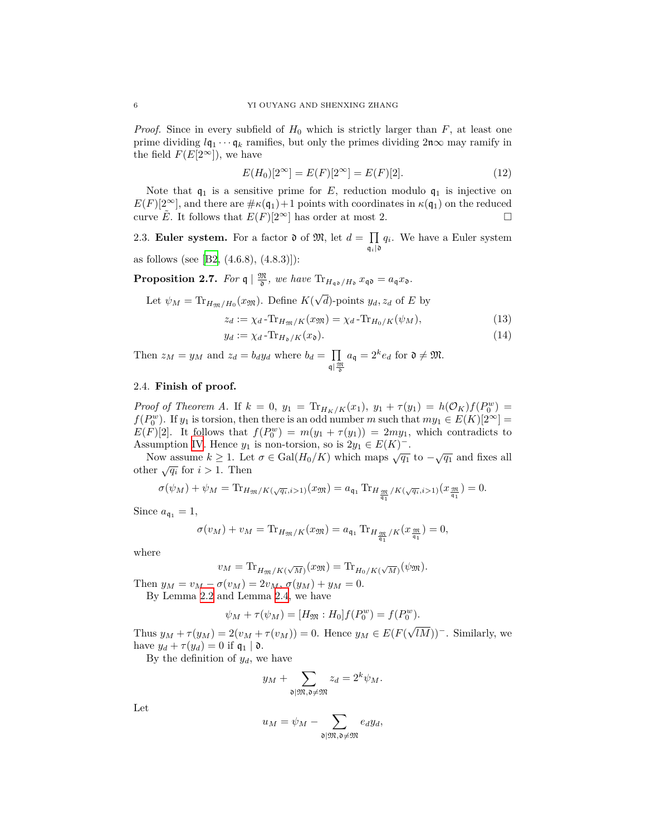*Proof.* Since in every subfield of  $H_0$  which is strictly larger than  $F$ , at least one prime dividing  $l\mathfrak{q}_1 \cdots \mathfrak{q}_k$  ramifies, but only the primes dividing  $2\mathfrak{n}\infty$  may ramify in the field  $F(E[2^{\infty}])$ , we have

$$
E(H_0)[2^{\infty}] = E(F)[2^{\infty}] = E(F)[2].
$$
\n(12)

Note that  $q_1$  is a sensitive prime for  $E$ , reduction modulo  $q_1$  is injective on  $E(F)[2^{\infty}]$ , and there are  $\#\kappa(\mathfrak{q}_1)+1$  points with coordinates in  $\kappa(\mathfrak{q}_1)$  on the reduced curve *E*. It follows that  $E(F)[2^{\infty}]$  has order at most 2.

2.3. **Euler system.** For a factor  $\mathfrak{d}$  of  $\mathfrak{M}$ , let  $d = \prod q_i$ . We have a Euler system  $\mathfrak{q}_i\vert\mathfrak{d}$ 

as follows (see [\[B2](#page-6-2),  $(4.6.8), (4.8.3)$ ]):

**Proposition 2.7.** For  $\mathfrak{q} \mid \frac{\mathfrak{M}}{\mathfrak{d}}$ , we have  $\text{Tr}_{H_{\mathfrak{q}\mathfrak{d}}/H_{\mathfrak{d}}} x_{\mathfrak{q}\mathfrak{d}} = a_{\mathfrak{q}} x_{\mathfrak{d}}.$ 

Let 
$$
\psi_M = \text{Tr}_{H_{\mathfrak{M}}/H_0}(x_{\mathfrak{M}})
$$
. Define  $K(\sqrt{d})$ -points  $y_d, z_d$  of E by

$$
z_d := \chi_d - \text{Tr}_{H_{\mathfrak{M}}/K}(x_{\mathfrak{M}}) = \chi_d - \text{Tr}_{H_0/K}(\psi_M),\tag{13}
$$

$$
y_d := \chi_d - \text{Tr}_{H_{\mathfrak{d}}/K}(x_{\mathfrak{d}}). \tag{14}
$$

Then  $z_M = y_M$  and  $z_d = b_d y_d$  where  $b_d = \prod$  $q \mid \frac{\mathfrak{M}}{\mathfrak{d}}$  $a_{\mathfrak{q}} = 2^k e_d$  for  $\mathfrak{d} \neq \mathfrak{M}$ .

# 2.4. **Finish of proof.**

*Proof of Theorem A.* If  $k = 0$ ,  $y_1 = \text{Tr}_{H_K/K}(x_1)$ ,  $y_1 + \tau(y_1) = h(\mathcal{O}_K)f(P_0^w)$ *f*( $P_0^w$ ). If *y*<sub>1</sub> is torsion, then there is an odd number *m* such that  $my_1 \in E(K)[2^\infty]$  =  $E(F)[2]$ . It follows that  $f(P_0^w) = m(y_1 + \tau(y_1)) = 2my_1$ , which contradicts to Assumption [IV.](#page-2-1) Hence  $y_1$  is non-torsion, so is  $2y_1 \in E(K)^-$ .

Now assume  $k \geq 1$ . Let  $\sigma \in \text{Gal}(H_0/K)$  which maps  $\sqrt{q_1}$  to  $-\sqrt{q_1}$  and fixes all other  $\sqrt{q_i}$  for  $i > 1$ . Then

$$
\sigma(\psi_M) + \psi_M = \text{Tr}_{H_{\mathfrak{M}}/K(\sqrt{q_i}, i>1)}(x_{\mathfrak{M}}) = a_{\mathfrak{q}_1} \text{Tr}_{H_{\frac{\mathfrak{M}}{\mathfrak{q}_1}}/K(\sqrt{q_i}, i>1)}(x_{\frac{\mathfrak{M}}{\mathfrak{q}_1}}) = 0.
$$

Since  $a_{\mathfrak{q}_1} = 1$ ,

$$
\sigma(v_M) + v_M = \text{Tr}_{H_{\mathfrak{M}}/K}(x_{\mathfrak{M}}) = a_{\mathfrak{q}_1} \text{Tr}_{H_{\frac{\mathfrak{M}}{\mathfrak{q}_1}}/K}(x_{\frac{\mathfrak{M}}{\mathfrak{q}_1}}) = 0,
$$

where

$$
v_M = \text{Tr}_{H_{\mathfrak{M}}/K(\sqrt{M})}(x_{\mathfrak{M}}) = \text{Tr}_{H_0/K(\sqrt{M})}(\psi_{\mathfrak{M}}).
$$

Then  $y_M = v_M - \sigma(v_M) = 2v_M$ ,  $\sigma(y_M) + y_M = 0$ .

By Lemma [2.2](#page-3-0) and Lemma [2.4,](#page-4-1) we have

$$
\psi_M + \tau(\psi_M) = [H_{\mathfrak{M}} : H_0] f(P_0^w) = f(P_0^w).
$$

Thus  $y_M + \tau(y_M) = 2(v_M + \tau(v_M)) = 0$ . Hence  $y_M \in E(F)$ *√ lM*))*−*. Similarly, we have  $y_d + \tau(y_d) = 0$  if  $\mathfrak{q}_1 \mid \mathfrak{d}$ .

By the definition of  $y_d$ , we have

$$
y_M + \sum_{\mathfrak{d} \mid \mathfrak{M}, \mathfrak{d} \neq \mathfrak{M}} z_d = 2^k \psi_M.
$$

Let

$$
u_M = \psi_M - \sum_{\mathfrak{d} \mid \mathfrak{M}, \mathfrak{d} \neq \mathfrak{M}} e_d y_d,
$$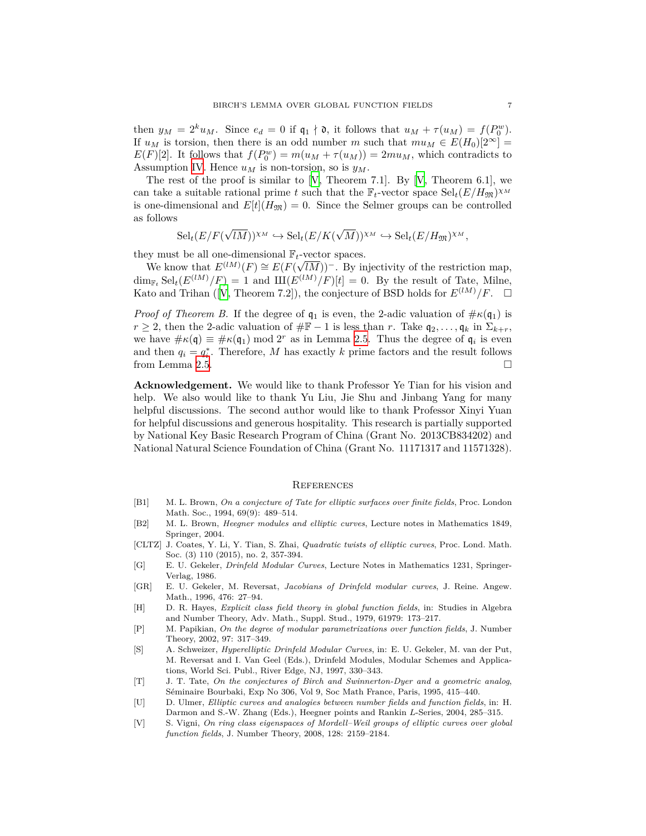then  $y_M = 2^k u_M$ . Since  $e_d = 0$  if  $\mathfrak{q}_1 \nmid \mathfrak{d}$ , it follows that  $u_M + \tau(u_M) = f(P_0^w)$ . If  $u_M$  is torsion, then there is an odd number *m* such that  $mu_M \in E(H_0)[2^\infty] =$  $E(F)[2]$ . It follows that  $f(P_0^w) = m(u_M + \tau(u_M)) = 2mu_M$ , which contradicts to Assumption [IV.](#page-2-1) Hence  $u_M$  is non-torsion, so is  $y_M$ .

The rest of the proof is similar to  $[V,$  $[V,$  $[V,$  Theorem 7.1. By  $[V,$  Theorem 6.1, we can take a suitable rational prime *t* such that the  $\mathbb{F}_t$ -vector space  $\text{Sel}_t(E/H_{\mathfrak{M}})^{\chi_M}$ is one-dimensional and  $E[t](H_{\mathfrak{M}}) = 0$ . Since the Selmer groups can be controlled as follows

$$
\mathrm{Sel}_{t}(E/F(\sqrt{lM}))^{\chi_{M}} \hookrightarrow \mathrm{Sel}_{t}(E/K(\sqrt{M}))^{\chi_{M}} \hookrightarrow \mathrm{Sel}_{t}(E/H_{\mathfrak{M}})^{\chi_{M}},
$$

they must be all one-dimensional  $\mathbb{F}_t$ -vector spaces.

 $E^{\text{(IM)}}(F) \cong E(F(\sqrt{F}))$ <br>We know that  $E^{(lM)}(F) \cong E(F(\sqrt{F}))$ *lM*))*−*. By injectivity of the restriction map,  $\dim_{\mathbb{F}_t} \text{Sel}_t(E^{(lM)}/F) = 1$  and  $\text{III}(E^{(lM)}/F)[t] = 0$ . By the result of Tate, Milne, Kato and Trihan ([[V,](#page-6-3) Theorem 7.2]), the conjecture of BSD holds for  $E^{(lM)}/F$ .  $\Box$ 

*Proof of Theorem B.* If the degree of  $q_1$  is even, the 2-adic valuation of  $\# \kappa(q_1)$  is *r* ≥ 2, then the 2-adic valuation of  $#F - 1$  is less than *r*. Take  $q_2, \ldots, q_k$  in  $\Sigma_{k+r}$ , we have  $\#\kappa(\mathfrak{q}) \equiv \#\kappa(\mathfrak{q}_1) \mod 2^r$  as in Lemma [2.5.](#page-4-0) Thus the degree of  $\mathfrak{q}_i$  is even and then  $q_i = q_i^*$ . Therefore, *M* has exactly *k* prime factors and the result follows from Lemma [2.5.](#page-4-0)  $\Box$ 

**Acknowledgement.** We would like to thank Professor Ye Tian for his vision and help. We also would like to thank Yu Liu, Jie Shu and Jinbang Yang for many helpful discussions. The second author would like to thank Professor Xinyi Yuan for helpful discussions and generous hospitality. This research is partially supported by National Key Basic Research Program of China (Grant No. 2013CB834202) and National Natural Science Foundation of China (Grant No. 11171317 and 11571328).

#### **REFERENCES**

- [B1] M. L. Brown, *On a conjecture of Tate for elliptic surfaces over finite fields*, Proc. London Math. Soc., 1994, 69(9): 489–514.
- <span id="page-6-2"></span>[B2] M. L. Brown, *Heegner modules and elliptic curves*, Lecture notes in Mathematics 1849, Springer, 2004.
- <span id="page-6-0"></span>[CLTZ] J. Coates, Y. Li, Y. Tian, S. Zhai, *Quadratic twists of elliptic curves*, Proc. Lond. Math. Soc. (3) 110 (2015), no. 2, 357-394.
- [G] E. U. Gekeler, *Drinfeld Modular Curves*, Lecture Notes in Mathematics 1231, Springer-Verlag, 1986.
- <span id="page-6-1"></span>[GR] E. U. Gekeler, M. Reversat, *Jacobians of Drinfeld modular curves*, J. Reine. Angew. Math., 1996, 476: 27–94.
- [H] D. R. Hayes, *Explicit class field theory in global function fields*, in: Studies in Algebra and Number Theory, Adv. Math., Suppl. Stud., 1979, 61979: 173–217.
- [P] M. Papikian, *On the degree of modular parametrizations over function fields*, J. Number Theory, 2002, 97: 317–349.
- [S] A. Schweizer, *Hyperelliptic Drinfeld Modular Curves*, in: E. U. Gekeler, M. van der Put, M. Reversat and I. Van Geel (Eds.), Drinfeld Modules, Modular Schemes and Applications, World Sci. Publ., River Edge, NJ, 1997, 330–343.
- [T] J. T. Tate, *On the conjectures of Birch and Swinnerton-Dyer and a geometric analog*, Séminaire Bourbaki, Exp No 306, Vol 9, Soc Math France, Paris, 1995, 415–440.
- [U] D. Ulmer, *Elliptic curves and analogies between number fields and function fields*, in: H. Darmon and S.-W. Zhang (Eds.), Heegner points and Rankin *L*-Series, 2004, 285–315.
- <span id="page-6-3"></span>[V] S. Vigni, *On ring class eigenspaces of Mordell–Weil groups of elliptic curves over global function fields*, J. Number Theory, 2008, 128: 2159–2184.